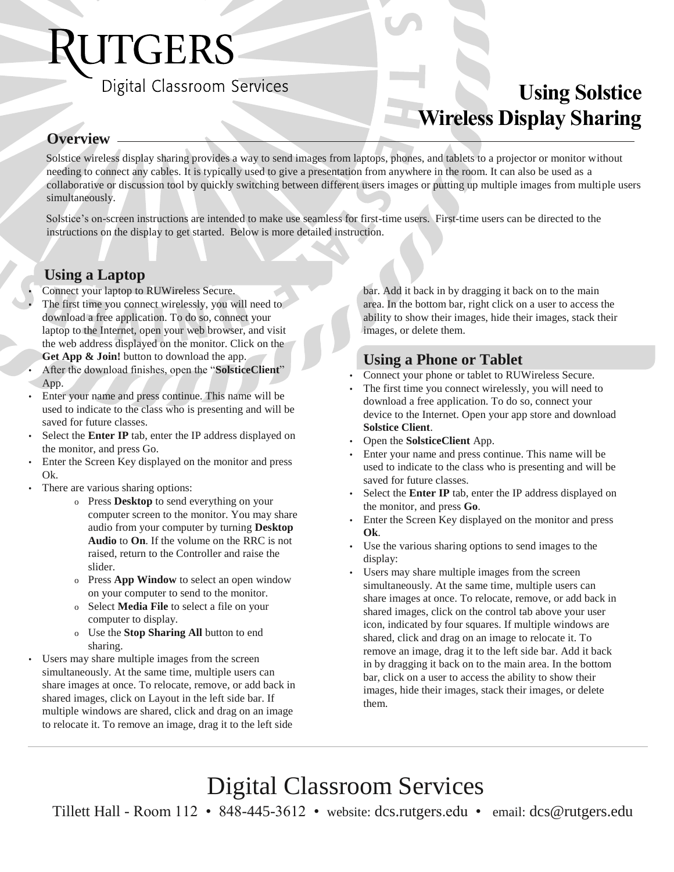# UTGERS

Digital Classroom Services

## **Using Solstice Wireless Display Sharing**

#### **Overview**

Solstice wireless display sharing provides a way to send images from laptops, phones, and tablets to a projector or monitor without needing to connect any cables. It is typically used to give a presentation from anywhere in the room. It can also be used as a collaborative or discussion tool by quickly switching between different users images or putting up multiple images from multiple users simultaneously.

Solstice's on-screen instructions are intended to make use seamless for first-time users. First-time users can be directed to the instructions on the display to get started. Below is more detailed instruction.

#### **Using a Laptop**

Connect your laptop to RUWireless Secure.

- The first time you connect wirelessly, you will need to download a free application. To do so, connect your laptop to the Internet, open your web browser, and visit the web address displayed on the monitor. Click on the **Get App & Join!** button to download the app.
- After the download finishes, open the "**SolsticeClient**" App.
- Enter your name and press continue. This name will be used to indicate to the class who is presenting and will be saved for future classes.
- Select the **Enter IP** tab, enter the IP address displayed on the monitor, and press Go.
- Enter the Screen Key displayed on the monitor and press Ok.
- There are various sharing options:
	- o Press **Desktop** to send everything on your computer screen to the monitor. You may share audio from your computer by turning **Desktop Audio** to **On**. If the volume on the RRC is not raised, return to the Controller and raise the slider.
	- o Press **App Window** to select an open window on your computer to send to the monitor.
	- o Select **Media File** to select a file on your computer to display.
	- o Use the **Stop Sharing All** button to end sharing.
- Users may share multiple images from the screen simultaneously. At the same time, multiple users can share images at once. To relocate, remove, or add back in shared images, click on Layout in the left side bar. If multiple windows are shared, click and drag on an image to relocate it. To remove an image, drag it to the left side

bar. Add it back in by dragging it back on to the main area. In the bottom bar, right click on a user to access the ability to show their images, hide their images, stack their images, or delete them.

#### **Using a Phone or Tablet**

- Connect your phone or tablet to RUWireless Secure.
- The first time you connect wirelessly, you will need to download a free application. To do so, connect your device to the Internet. Open your app store and download **Solstice Client**.
- Open the **SolsticeClient** App.
- Enter your name and press continue. This name will be used to indicate to the class who is presenting and will be saved for future classes.
- Select the **Enter IP** tab, enter the IP address displayed on the monitor, and press **Go**.
- Enter the Screen Key displayed on the monitor and press **Ok**.
- Use the various sharing options to send images to the display:
- Users may share multiple images from the screen simultaneously. At the same time, multiple users can share images at once. To relocate, remove, or add back in shared images, click on the control tab above your user icon, indicated by four squares. If multiple windows are shared, click and drag on an image to relocate it. To remove an image, drag it to the left side bar. Add it back in by dragging it back on to the main area. In the bottom bar, click on a user to access the ability to show their images, hide their images, stack their images, or delete them.

### Digital Classroom Services Tillett Hall - Room 112 • 848-445-3612 • website: dcs.rutgers.edu • email: dcs@rutgers.edu